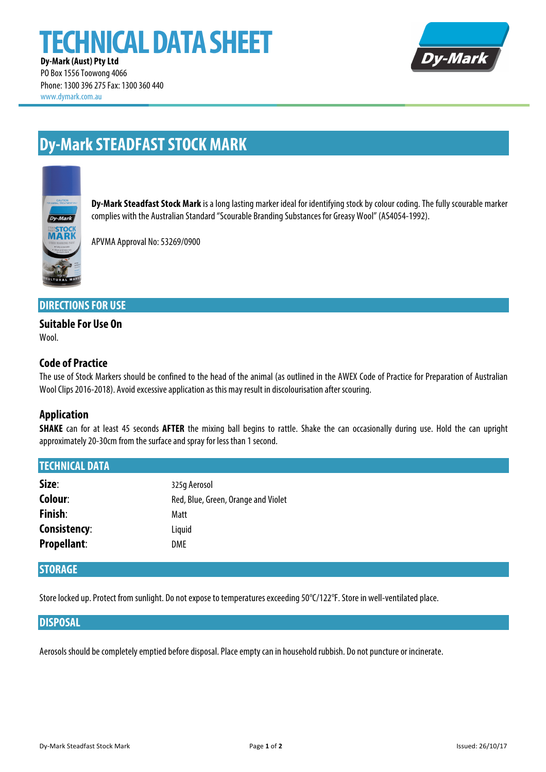# **TECHNICAL DATA SHEET**



**Dy-Mark (Aust) Pty Ltd** PO Box 1556 Toowong 4066 Phone: 1300 396 275Fax: 1300 360 440 www.dymark.com.au

# **Dy-Mark STEADFAST STOCK MARK**



**Dy-Mark Steadfast Stock Mark** is a long lasting marker ideal for identifying stock by colour coding. The fully scourable marker complies with the Australian Standard "Scourable Branding Substances for Greasy Wool" (AS4054-1992).

APVMA Approval No: 53269/0900

#### **DIRECTIONS FOR USE**

## **Suitable For Use On**

Wool

#### **Code of Practice**

The use of Stock Markers should be confined to the head of the animal (as outlined in the AWEX Code of Practice for Preparation of Australian Wool Clips 2016-2018). Avoid excessive application as this may result in discolourisation after scouring.

#### **Application**

**SHAKE** can for at least 45 seconds **AFTER** the mixing ball begins to rattle. Shake the can occasionally during use. Hold the can upright approximately 20-30cm from the surface and spray for less than 1 second.

| <b>TECHNICAL DATA</b> |                                     |
|-----------------------|-------------------------------------|
| Size:                 | 325g Aerosol                        |
| Colour:               | Red, Blue, Green, Orange and Violet |
| Finish:               | Matt                                |
| <b>Consistency:</b>   | Liquid                              |
| <b>Propellant:</b>    | DME                                 |
|                       |                                     |

#### **STORAGE**

Store locked up. Protect from sunlight. Do not expose to temperatures exceeding 50°C/122°F. Store in well-ventilated place.

#### **DISPOSAL**

Aerosols should be completely emptied before disposal. Place empty can in household rubbish. Do not puncture or incinerate.